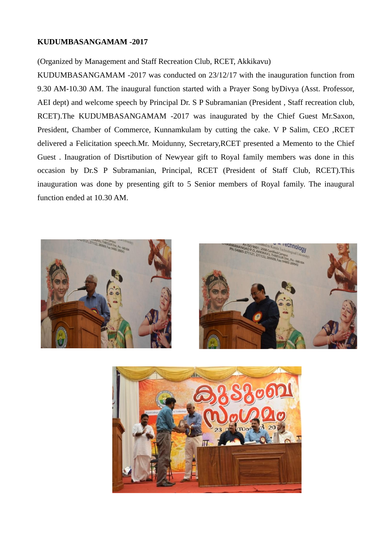#### **KUDUMBASANGAMAM -2017**

#### (Organized by Management and Staff Recreation Club, RCET, Akkikavu)

KUDUMBASANGAMAM -2017 was conducted on 23/12/17 with the inauguration function from 9.30 AM-10.30 AM. The inaugural function started with a Prayer Song byDivya (Asst. Professor, AEI dept) and welcome speech by Principal Dr. S P Subramanian (President , Staff recreation club, RCET).The KUDUMBASANGAMAM -2017 was inaugurated by the Chief Guest Mr.Saxon, President, Chamber of Commerce, Kunnamkulam by cutting the cake. V P Salim, CEO ,RCET delivered a Felicitation speech.Mr. Moidunny, Secretary,RCET presented a Memento to the Chief Guest . Inaugration of Disrtibution of Newyear gift to Royal family members was done in this occasion by Dr.S P Subramanian, Principal, RCET (President of Staff Club, RCET).This inauguration was done by presenting gift to 5 Senior members of Royal family. The inaugural function ended at 10.30 AM.





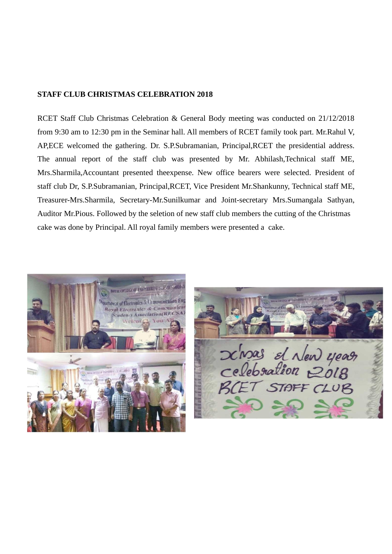#### **STAFF CLUB CHRISTMAS CELEBRATION 2018**

RCET Staff Club Christmas Celebration & General Body meeting was conducted on 21/12/2018 from 9:30 am to 12:30 pm in the Seminar hall. All members of RCET family took part. Mr.Rahul V, AP,ECE welcomed the gathering. Dr. S.P.Subramanian, Principal,RCET the presidential address. The annual report of the staff club was presented by Mr. Abhilash,Technical staff ME, Mrs.Sharmila,Accountant presented theexpense. New office bearers were selected. President of staff club Dr, S.P.Subramanian, Principal,RCET, Vice President Mr.Shankunny, Technical staff ME, Treasurer-Mrs.Sharmila, Secretary-Mr.Sunilkumar and Joint-secretary Mrs.Sumangala Sathyan, Auditor Mr.Pious. Followed by the seletion of new staff club members the cutting of the Christmas cake was done by Principal. All royal family members were presented a cake.



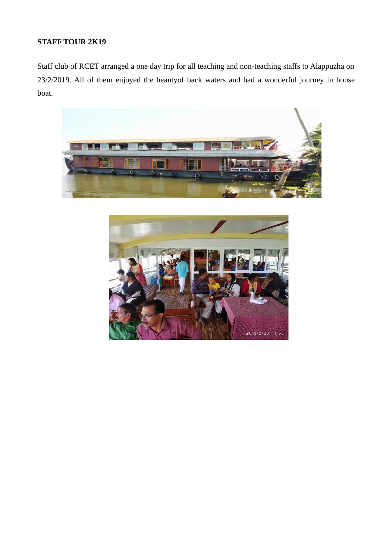## **STAFF TOUR 2K19**

Staff club of RCET arranged a one day trip for all teaching and non-teaching staffs to Alappuzha on 23/2/2019. All of them enjoyed the beautyof back waters and had a wonderful journey in house boat.



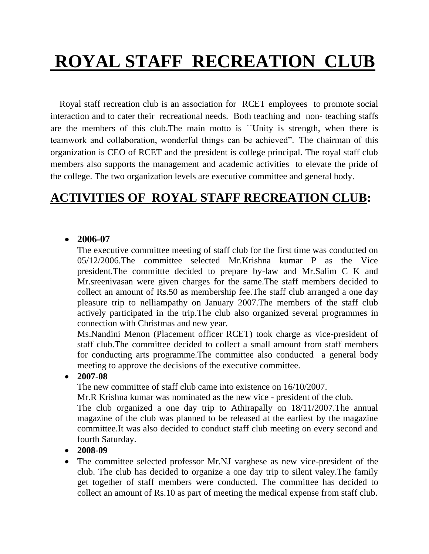# **ROYAL STAFF RECREATION CLUB**

 Royal staff recreation club is an association for RCET employees to promote social interaction and to cater their recreational needs. Both teaching and non- teaching staffs are the members of this club.The main motto is ``Unity is strength, when there is teamwork and collaboration, wonderful things can be achieved". The chairman of this organization is CEO of RCET and the president is college principal. The royal staff club members also supports the management and academic activities to elevate the pride of the college. The two organization levels are executive committee and general body.

## **ACTIVITIES OF ROYAL STAFF RECREATION CLUB:**

#### • **2006-07**

The executive committee meeting of staff club for the first time was conducted on 05/12/2006.The committee selected Mr.Krishna kumar P as the Vice president.The committte decided to prepare by-law and Mr.Salim C K and Mr.sreenivasan were given charges for the same.The staff members decided to collect an amount of Rs.50 as membership fee.The staff club arranged a one day pleasure trip to nelliampathy on January 2007.The members of the staff club actively participated in the trip.The club also organized several programmes in connection with Christmas and new year.

Ms.Nandini Menon (Placement officer RCET) took charge as vice-president of staff club.The committee decided to collect a small amount from staff members for conducting arts programme.The committee also conducted a general body meeting to approve the decisions of the executive committee.

• **2007-08** 

The new committee of staff club came into existence on 16/10/2007.

Mr.R Krishna kumar was nominated as the new vice - president of the club.

The club organized a one day trip to Athirapally on 18/11/2007.The annual magazine of the club was planned to be released at the earliest by the magazine committee.It was also decided to conduct staff club meeting on every second and fourth Saturday.

- **2008-09**
- The committee selected professor Mr.NJ varghese as new vice-president of the club. The club has decided to organize a one day trip to silent valey.The family get together of staff members were conducted. The committee has decided to collect an amount of Rs.10 as part of meeting the medical expense from staff club.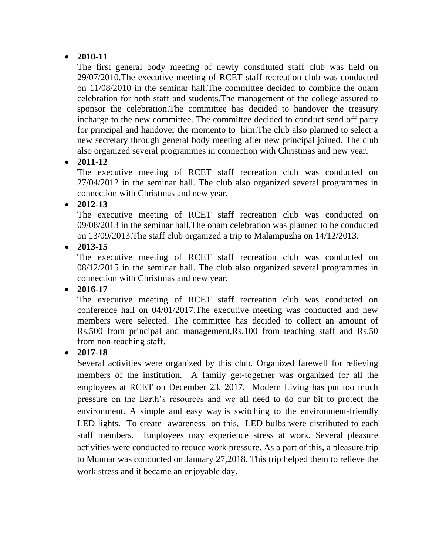## • **2010-11**

The first general body meeting of newly constituted staff club was held on 29/07/2010.The executive meeting of RCET staff recreation club was conducted on 11/08/2010 in the seminar hall.The committee decided to combine the onam celebration for both staff and students.The management of the college assured to sponsor the celebration.The committee has decided to handover the treasury incharge to the new committee. The committee decided to conduct send off party for principal and handover the momento to him.The club also planned to select a new secretary through general body meeting after new principal joined. The club also organized several programmes in connection with Christmas and new year.

## • **2011-12**

The executive meeting of RCET staff recreation club was conducted on 27/04/2012 in the seminar hall. The club also organized several programmes in connection with Christmas and new year.

## • **2012-13**

The executive meeting of RCET staff recreation club was conducted on 09/08/2013 in the seminar hall.The onam celebration was planned to be conducted on 13/09/2013.The staff club organized a trip to Malampuzha on 14/12/2013.

#### • **2013-15**

The executive meeting of RCET staff recreation club was conducted on 08/12/2015 in the seminar hall. The club also organized several programmes in connection with Christmas and new year.

• **2016-17**

The executive meeting of RCET staff recreation club was conducted on conference hall on 04/01/2017.The executive meeting was conducted and new members were selected. The committee has decided to collect an amount of Rs.500 from principal and management,Rs.100 from teaching staff and Rs.50 from non-teaching staff.

## • **2017-18**

Several activities were organized by this club. Organized farewell for relieving members of the institution. A family get-together was organized for all the employees at RCET on December 23, 2017. Modern Living has put too much pressure on the Earth's resources and we all need to do our bit to protect the environment. A simple and easy way is switching to the environment-friendly LED lights. To create awareness on this, LED bulbs were distributed to each staff members. Employees may experience stress at work. Several pleasure activities were conducted to reduce work pressure. As a part of this, a pleasure trip to Munnar was conducted on January 27,2018. This trip helped them to relieve the work stress and it became an enjoyable day.